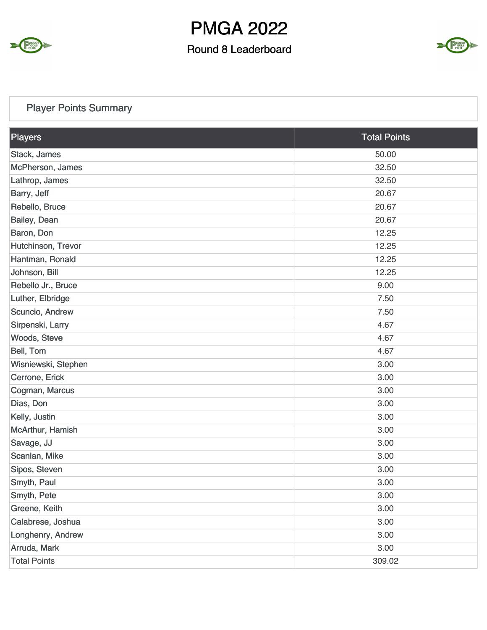

## Round 8 Leaderboard



# Player Points Summary

| Players             | <b>Total Points</b> |
|---------------------|---------------------|
| Stack, James        | 50.00               |
| McPherson, James    | 32.50               |
| Lathrop, James      | 32.50               |
| Barry, Jeff         | 20.67               |
| Rebello, Bruce      | 20.67               |
| Bailey, Dean        | 20.67               |
| Baron, Don          | 12.25               |
| Hutchinson, Trevor  | 12.25               |
| Hantman, Ronald     | 12.25               |
| Johnson, Bill       | 12.25               |
| Rebello Jr., Bruce  | 9.00                |
| Luther, Elbridge    | 7.50                |
| Scuncio, Andrew     | 7.50                |
| Sirpenski, Larry    | 4.67                |
| Woods, Steve        | 4.67                |
| Bell, Tom           | 4.67                |
| Wisniewski, Stephen | 3.00                |
| Cerrone, Erick      | 3.00                |
| Cogman, Marcus      | 3.00                |
| Dias, Don           | 3.00                |
| Kelly, Justin       | 3.00                |
| McArthur, Hamish    | 3.00                |
| Savage, JJ          | 3.00                |
| Scanlan, Mike       | 3.00                |
| Sipos, Steven       | 3.00                |
| Smyth, Paul         | 3.00                |
| Smyth, Pete         | 3.00                |
| Greene, Keith       | 3.00                |
| Calabrese, Joshua   | 3.00                |
| Longhenry, Andrew   | 3.00                |
| Arruda, Mark        | 3.00                |
| <b>Total Points</b> | 309.02              |

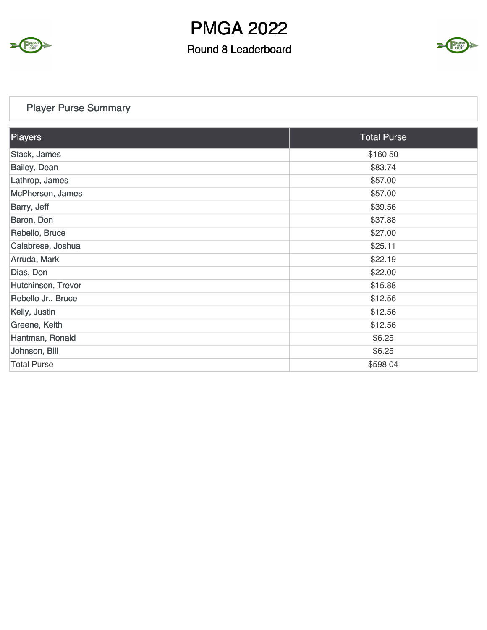

## Round 8 Leaderboard



# Player Purse Summary

Σ

CLUB<sub>CLUB</sub>

| Players            | <b>Total Purse</b> |
|--------------------|--------------------|
| Stack, James       | \$160.50           |
| Bailey, Dean       | \$83.74            |
| Lathrop, James     | \$57.00            |
| McPherson, James   | \$57.00            |
| Barry, Jeff        | \$39.56            |
| Baron, Don         | \$37.88            |
| Rebello, Bruce     | \$27.00            |
| Calabrese, Joshua  | \$25.11            |
| Arruda, Mark       | \$22.19            |
| Dias, Don          | \$22.00            |
| Hutchinson, Trevor | \$15.88            |
| Rebello Jr., Bruce | \$12.56            |
| Kelly, Justin      | \$12.56            |
| Greene, Keith      | \$12.56            |
| Hantman, Ronald    | \$6.25             |
| Johnson, Bill      | \$6.25             |
| <b>Total Purse</b> | \$598.04           |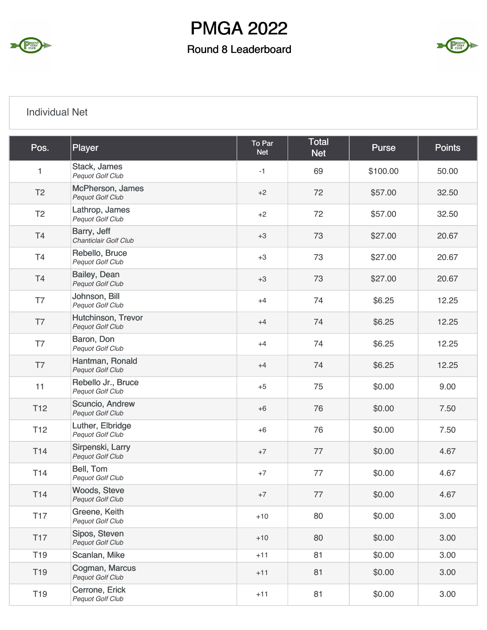

# Round 8 Leaderboard



#### Individual Net

| Pos.            | Player                                     | To Par<br><b>Net</b> | <b>Total</b><br><b>Net</b> | <b>Purse</b> | <b>Points</b> |
|-----------------|--------------------------------------------|----------------------|----------------------------|--------------|---------------|
| $\mathbf{1}$    | Stack, James<br>Pequot Golf Club           | $-1$                 | 69                         | \$100.00     | 50.00         |
| T <sub>2</sub>  | McPherson, James<br>Pequot Golf Club       | $+2$                 | 72                         | \$57.00      | 32.50         |
| T <sub>2</sub>  | Lathrop, James<br><b>Pequot Golf Club</b>  | $+2$                 | 72                         | \$57.00      | 32.50         |
| T4              | Barry, Jeff<br>Chanticlair Golf Club       | $+3$                 | 73                         | \$27.00      | 20.67         |
| T4              | Rebello, Bruce<br>Pequot Golf Club         | $+3$                 | 73                         | \$27.00      | 20.67         |
| T4              | Bailey, Dean<br>Pequot Golf Club           | $+3$                 | 73                         | \$27.00      | 20.67         |
| T7              | Johnson, Bill<br>Pequot Golf Club          | $+4$                 | 74                         | \$6.25       | 12.25         |
| T7              | Hutchinson, Trevor<br>Pequot Golf Club     | $+4$                 | 74                         | \$6.25       | 12.25         |
| T7              | Baron, Don<br>Pequot Golf Club             | $+4$                 | 74                         | \$6.25       | 12.25         |
| T7              | Hantman, Ronald<br>Pequot Golf Club        | $+4$                 | 74                         | \$6.25       | 12.25         |
| 11              | Rebello Jr., Bruce<br>Pequot Golf Club     | $+5$                 | 75                         | \$0.00       | 9.00          |
| T <sub>12</sub> | Scuncio, Andrew<br><b>Pequot Golf Club</b> | $+6$                 | 76                         | \$0.00       | 7.50          |
| T <sub>12</sub> | Luther, Elbridge<br>Pequot Golf Club       | $+6$                 | 76                         | \$0.00       | 7.50          |
| T14             | Sirpenski, Larry<br>Pequot Golf Club       | $+7$                 | 77                         | \$0.00       | 4.67          |
| T14             | Bell, Tom<br>Pequot Golf Club              | $+7$                 | 77                         | \$0.00       | 4.67          |
| T14             | Woods, Steve<br>Pequot Golf Club           | $+7$                 | 77                         | \$0.00       | 4.67          |
| <b>T17</b>      | Greene, Keith<br>Pequot Golf Club          | $+10$                | 80                         | \$0.00       | 3.00          |
| T <sub>17</sub> | Sipos, Steven<br>Pequot Golf Club          | $+10$                | 80                         | \$0.00       | 3.00          |
| T <sub>19</sub> | Scanlan, Mike                              | $+11$                | 81                         | \$0.00       | 3.00          |
| T19             | Cogman, Marcus<br>Pequot Golf Club         | $+11$                | 81                         | \$0.00       | 3.00          |
| T <sub>19</sub> | Cerrone, Erick<br>Pequot Golf Club         | $+11$                | 81                         | \$0.00       | 3.00          |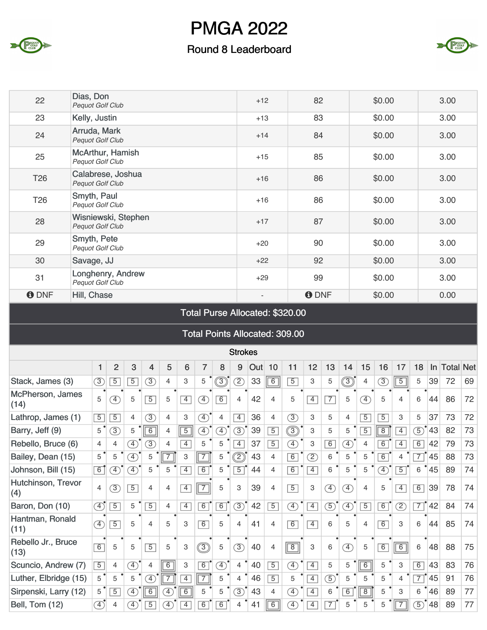

## Round 8 Leaderboard



| 22              | Dias, Don<br>Pequot Golf Club           | $+12$                        | 82           | \$0.00 | 3.00 |
|-----------------|-----------------------------------------|------------------------------|--------------|--------|------|
| 23              | Kelly, Justin                           | $+13$                        | 83           | \$0.00 | 3.00 |
| 24              | Arruda, Mark<br>Pequot Golf Club        | $+14$                        | 84           | \$0.00 | 3.00 |
| 25              | McArthur, Hamish<br>Pequot Golf Club    | $+15$                        | 85           | \$0.00 | 3.00 |
| T <sub>26</sub> | Calabrese, Joshua<br>Pequot Golf Club   | $+16$                        | 86           | \$0.00 | 3.00 |
| T <sub>26</sub> | Smyth, Paul<br>Pequot Golf Club         | $+16$                        | 86           | \$0.00 | 3.00 |
| 28              | Wisniewski, Stephen<br>Pequot Golf Club | $+17$                        | 87           | \$0.00 | 3.00 |
| 29              | Smyth, Pete<br>Pequot Golf Club         | $+20$                        | 90           | \$0.00 | 3.00 |
| 30              | Savage, JJ                              | $+22$                        | 92           | \$0.00 | 3.00 |
| 31              | Longhenry, Andrew<br>Pequot Golf Club   | $+29$                        | 99           | \$0.00 | 3.00 |
| <b>O</b> DNF    | Hill, Chase                             | $\qquad \qquad \blacksquare$ | <b>O</b> DNF | \$0.00 | 0.00 |

Total Purse Allocated: \$320.00

| Total Points Allocated: 309.00 |  |
|--------------------------------|--|
|--------------------------------|--|

| <b>Strokes</b>             |                        |                |                              |                |                              |                |                              |                              |                          |     |                |                |                |                              |                              |                              |                              |                          |                |     |                  |    |
|----------------------------|------------------------|----------------|------------------------------|----------------|------------------------------|----------------|------------------------------|------------------------------|--------------------------|-----|----------------|----------------|----------------|------------------------------|------------------------------|------------------------------|------------------------------|--------------------------|----------------|-----|------------------|----|
|                            | 1                      | $\overline{2}$ | 3                            | 4              | 5                            | 6              | 7                            | 8                            | 9                        | Out | 10             | 11             | 12             | 13                           | 14                           | 15                           | 16                           | 17                       | 18             | In. | <b>Total Net</b> |    |
| Stack, James (3)           | $\circled{3}$          | $\overline{5}$ | $\overline{5}$               | (3)            | 4                            | 3              | 5                            | $\circledS$                  | $\overline{\mathcal{Z}}$ | 33  | 6              | $\overline{5}$ | 3              | 5                            | ි                            | 4                            | $\circled{3}$                | $\overline{5}$           | 5              | 39  | 72               | 69 |
| McPherson, James<br>(14)   | 5                      | $\boxed{4}$    | 5                            | $\overline{5}$ | 5                            | $\overline{4}$ | $\left( \overline{4}\right)$ | $\overline{6}$               | 4                        | 42  | 4              | 5              | $\overline{4}$ | $\overline{7}$               | 5                            | $\left( \overline{4}\right)$ | 5                            | 4                        | 6              | 44  | 86               | 72 |
| Lathrop, James (1)         | $\overline{5}$         | $\overline{5}$ | 4                            | $\circled{3}$  | 4                            | 3              | $\boxed{4}$                  | $\overline{4}$               | $\overline{4}$           | 36  | 4              | (3)            | 3              | 5                            | $\overline{4}$               | $\overline{5}$               | $\overline{5}$               | 3                        | 5              | 37  | 73               | 72 |
| Barry, Jeff (9)            | 5                      | 3)             | 5                            | $\overline{6}$ | 4                            | $\overline{5}$ | $\left( \overline{4}\right)$ | $\left( \overline{4}\right)$ | $\circled{3}$            | 39  | $\overline{5}$ | ③              | 3              | 5                            | 5                            | $\overline{5}$               | $\overline{8}$               | $\overline{4}$           | 5              | 43  | 82               | 73 |
| Rebello, Bruce (6)         | 4                      | 4              | $\left( \overline{4}\right)$ | 3              | 4                            | $\overline{4}$ | 5                            | 5                            | $\overline{4}$           | 37  | $\overline{5}$ | $\mathcal{F}$  | 3              | 6                            | $\left( \overline{4}\right)$ | 4                            | 6                            | $\overline{4}$           | 6              | 42  | 79               | 73 |
| Bailey, Dean (15)          | 5                      | 5              | $\left( \overline{4}\right)$ | 5              | $\sqrt{7}$                   | 3              | $\overline{7}$               | 5                            | $\widehat{\mathbb{Z}}$   | 43  | 4              | 6              | (2)            | 6                            | 5                            | 5                            | $\overline{6}$               | 4                        | $\overline{7}$ | 45  | 88               | 73 |
| Johnson, Bill (15)         | $\overline{6}$         | $\mathcal{F}$  | $\left( \overline{4}\right)$ | 5              | 5                            | $\overline{4}$ | $\overline{6}$               | 5                            | $\overline{5}$           | 44  | $\overline{4}$ | 6              | $\boxed{4}$    | 6                            | 5                            | 5                            | $\left( \overline{4}\right)$ | $\overline{5}$           | 6              | 45  | 89               | 74 |
| Hutchinson, Trevor<br>(4)  | $\overline{4}$         | $\circled{3}$  | $\overline{5}$               | 4              | $\overline{4}$               | $\overline{4}$ | $\overline{7}$               | 5                            | 3                        | 39  | $\overline{4}$ | $\overline{5}$ | 3              | $\left( \overline{4}\right)$ | $\boxed{4}$                  | $\overline{4}$               | 5                            | $\overline{4}$           | $\boxed{6}$    | 39  | 78               | 74 |
| Baron, Don (10)            | $\overline{\bigoplus}$ | $\overline{5}$ | 5                            | $\overline{5}$ | 4                            | $\overline{4}$ | 6                            | $\overline{6}$               | $\circled{3}$            | 42  | $\overline{5}$ | Ð              | $\overline{4}$ | $\circled{5}$                | $\boxed{4}$                  | $\overline{5}$               | 6                            | $\overline{\mathcal{Z}}$ | $\sqrt{7}$     | 42  | 84               | 74 |
| Hantman, Ronald<br>(11)    | $\circledast$          | $\overline{5}$ | 5                            | $\overline{4}$ | 5                            | 3              | 6                            | 5                            | 4                        | 41  | 4              | 6              | $\boxed{4}$    | 6                            | 5                            | $\overline{4}$               | 6                            | 3                        | 6              | 44  | 85               | 74 |
| Rebello Jr., Bruce<br>(13) | $\overline{6}$         | 5              | 5                            | $\overline{5}$ | 5                            | 3              | ි                            | 5                            | $\circled{3}$            | 40  | 4              | $\boxed{8}$    | 3              | 6                            | $\boxed{4}$                  | 5                            | 6                            | $\overline{6}$           | 6              | 48  | 88               | 75 |
| Scuncio, Andrew (7)        | $\overline{5}$         | $\overline{4}$ | $\circledA$                  | 4              | 6                            | 3              | $\overline{6}$               | $\mathcal{F}$                | $\overline{4}$           | 40  | $\overline{5}$ | $\circled{4}$  | $\overline{4}$ | 5                            | 5                            | 6                            | 5                            | 3                        | $\boxed{6}$    | 43  | 83               | 76 |
| Luther, Elbridge (15)      | 5                      | 5              | 5                            | $\overline{4}$ |                              | $\overline{4}$ | $\overline{7}$               | 5                            | 4                        | 46  | $\overline{5}$ | 5              | $\overline{4}$ | $\mathcal{F}$                | 5                            | 5                            | 5                            | 4                        | $\overline{7}$ | 45  | 91               | 76 |
| Sirpenski, Larry (12)      | 5                      | $\overline{5}$ | $\left( \overline{4}\right)$ | 6              | $\left(4\right)$             | 6              | 5                            | 5                            | $\circled{3}$            | 43  | $\overline{4}$ | A)             | $\overline{4}$ | 6                            | 6                            | 8                            | 5                            | 3                        | 6              | 46  | 89               | 77 |
| Bell, Tom (12)             | $\mathcal{A}$          | 4              | $\left( \overline{4}\right)$ | $\overline{5}$ | $\left( \overline{4}\right)$ | 4              | 6                            | $\overline{6}$               | 4                        | 41  | 6              | $\mathcal{F}$  | $\overline{4}$ | $\overline{7}$               | 5                            | 5                            | 5                            | $\overline{7}$           | 5)             | 48  | 89               | 77 |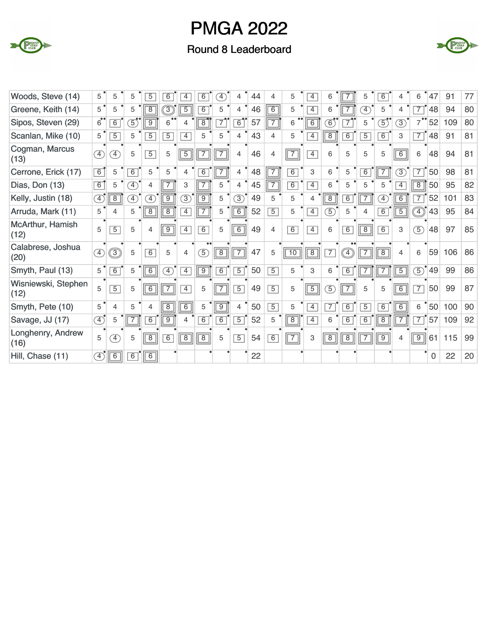

## Round 8 Leaderboard



| Woods, Steve (14)           | 5                            | 5                            | 5                            | 5              | 6                            | 4              | 6              | $\left(4\right)$ |                | 44 | 4              | 5               | 4              | 6              |                | 5              | 6              |                | 6                            | 47 | 91  | 77 |
|-----------------------------|------------------------------|------------------------------|------------------------------|----------------|------------------------------|----------------|----------------|------------------|----------------|----|----------------|-----------------|----------------|----------------|----------------|----------------|----------------|----------------|------------------------------|----|-----|----|
| Greene, Keith (14)          | 5                            | 5                            | 5                            | $\overline{8}$ | $\boxed{3}$                  | $\overline{5}$ | $\overline{6}$ | 5                | 4              | 46 | 6              | 5               | $\overline{4}$ | 6              |                | $\boxed{4}$    | 5              | 4              | $\overline{7}$               | 48 | 94  | 80 |
| Sipos, Steven (29)          | $\overline{6}$ <sup>**</sup> | 6                            | $\overline{5}$               | 9              | 6                            | 4              | $\overline{8}$ | $\overline{7}$   | $\overline{6}$ | 57 | $\overline{7}$ | 6               | 6              | $\boxed{6}$    |                | 5              | $\overline{5}$ | 3)             |                              | 52 | 109 | 80 |
| Scanlan, Mike (10)          | 5                            | $\overline{5}$               | 5                            | $\overline{5}$ | $\overline{5}$               | $\overline{4}$ | 5              | 5                | 4              | 43 | 4              | 5               | 4              | $\overline{8}$ | $\overline{6}$ | $\overline{5}$ | $\overline{6}$ | 3              | $\overline{7}$               | 48 | 91  | 81 |
| Cogman, Marcus<br>(13)      | F)                           | $\left( \frac{1}{2} \right)$ | 5                            | $\overline{5}$ | 5                            | $\overline{5}$ | $\overline{7}$ | $\overline{7}$   | 4              | 46 | 4              | $\boxed{7}$     | $\overline{4}$ | 6              | 5              | 5              | 5              | $\boxed{6}$    | 6                            | 48 | 94  | 81 |
| Cerrone, Erick (17)         | $\overline{6}$               | 5                            | $\overline{6}$               | 5              | 5                            | 4              | $\overline{6}$ | $\overline{7}$   | 4              | 48 | $\overline{7}$ | 6               | 3              | 6              | 5              | $\overline{6}$ | $\overline{7}$ | 3)             | $\overline{7}$               | 50 | 98  | 81 |
| Dias, Don (13)              | $\overline{6}$               | 5                            | $\left( \overline{4}\right)$ | 4              |                              | 3              | $\overline{7}$ | 5                | 4              | 45 | $\overline{7}$ | $\overline{6}$  | $\overline{4}$ | 6              | 5              | 5              | 5              | $\overline{4}$ | $\overline{8}$               | 50 | 95  | 82 |
| Kelly, Justin (18)          | $\left( 4\right)$            | $\overline{8}$               | $\left( \overline{4}\right)$ | $\boxed{4}$    | $\overline{9}$               | $\circled{3}$  | $\overline{9}$ | 5                | $\circled{3}$  | 49 | 5              | 5               | 4              | $\overline{8}$ | $\overline{6}$ |                | $\boxed{4}$    | $\overline{6}$ | $\overline{7}$               | 52 | 101 | 83 |
| Arruda, Mark (11)           | 5                            | 4                            | 5                            | $\overline{8}$ | 8                            | $\overline{4}$ | $\overline{7}$ | 5                | 6              | 52 | $\overline{5}$ | 5               | $\overline{4}$ | 5              | 5              | $\overline{4}$ | 6              | $\sqrt{5}$     | $\left( \overline{4}\right)$ | 43 | 95  | 84 |
| McArthur, Hamish<br>(12)    | 5                            | $\overline{5}$               | 5                            | 4              | $\overline{9}$               | $\overline{4}$ | 6              | 5                | $\overline{6}$ | 49 | $\overline{4}$ | 6               | $\overline{4}$ | 6              | 6              | $\overline{8}$ | 6              | 3              | (5)                          | 48 | 97  | 85 |
| Calabrese, Joshua<br>(20)   | $\boxed{4}$                  | ு                            | 5                            | $\overline{6}$ | 5                            | $\overline{4}$ | $\overline{5}$ | $\overline{8}$   | $\overline{7}$ | 47 | 5              | $\overline{10}$ | $\overline{8}$ | $\overline{7}$ | T)             | $\overline{7}$ | $\overline{8}$ | 4              | 6                            | 59 | 106 | 86 |
| Smyth, Paul (13)            | $\overline{5}$               | 6                            | 5                            | $\overline{6}$ | $\left( \overline{4}\right)$ | $\overline{4}$ | $\overline{9}$ | $\overline{6}$   | $\overline{5}$ | 50 | $\overline{5}$ | 5               | 3              | 6              | 6              |                | 7              | $\sqrt{5}$     | $\circled{5}$                | 49 | 99  | 86 |
| Wisniewski, Stephen<br>(12) | 5                            | $\overline{5}$               | 5                            | 6              | $\overline{7}$               | $\overline{4}$ | 5              | $\overline{7}$   | $\overline{5}$ | 49 | $\overline{5}$ | 5               | $\overline{5}$ | $\circ$        | $\boxed{7}$    | 5              | 5              | 6              | $\overline{7}$               | 50 | 99  | 87 |
| Smyth, Pete (10)            | 5                            | 4                            | 5                            | 4              | $\overline{8}$               | $\overline{6}$ | 5              | $\overline{9}$   | 4              | 50 | $\overline{5}$ | 5               | $\overline{4}$ | $\overline{7}$ | $\overline{6}$ | $\overline{5}$ | 6              | $\overline{6}$ | 6                            | 50 | 100 | 90 |
| Savage, JJ (17)             | Œ                            | 5                            | 7                            | 6              | $\overline{9}$               | 4              | 6              | 6                | $\overline{5}$ | 52 | 5              | $\overline{8}$  | $\overline{4}$ | 6              | 6              | 6              | $\overline{8}$ | 7              | 7                            | 57 | 109 | 92 |
| Longhenry, Andrew<br>(16)   | 5                            | $\mathcal{F}$                | 5                            | $\overline{8}$ | 6                            | $\overline{8}$ | $\overline{8}$ | 5                | $\overline{5}$ | 54 | 6              | $\boxed{7}$     | 3              | $\overline{8}$ | $\overline{8}$ | $\overline{7}$ | $\overline{9}$ | $\overline{4}$ | $\boxed{9}$                  | 61 | 115 | 99 |
| Hill, Chase (11)            | $\left( 4\right)$            | $\overline{6}$               | $\overline{6}$               | $\overline{6}$ |                              |                |                |                  |                | 22 |                |                 |                |                |                |                |                |                |                              | 0  | 22  | 20 |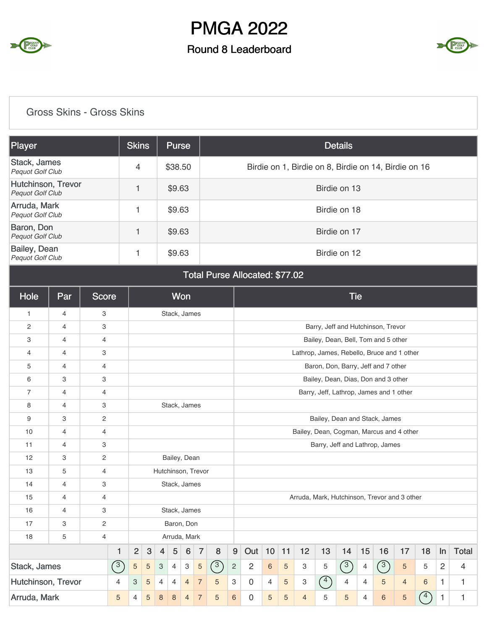

#### Round 8 Leaderboard



#### Gross Skins - Gross Skins

| Player                                        | <b>Skins</b> | <b>Purse</b> | <b>Details</b>                                       |
|-----------------------------------------------|--------------|--------------|------------------------------------------------------|
| Stack, James<br>Pequot Golf Club              | 4            | \$38.50      | Birdie on 1, Birdie on 8, Birdie on 14, Birdie on 16 |
| Hutchinson, Trevor<br><b>Pequot Golf Club</b> |              | \$9.63       | Birdie on 13                                         |
| Arruda, Mark<br>Pequot Golf Club              |              | \$9.63       | Birdie on 18                                         |
| Baron, Don<br><b>Pequot Golf Club</b>         |              | \$9.63       | Birdie on 17                                         |
| <b>Bailey, Dean</b><br>Pequot Golf Club       |              | \$9.63       | Birdie on 12                                         |

Total Purse Allocated: \$77.02

| Hole               | Par            | Score          |   |                                                                                                                             |   |                    |              | Won            |                |            |                |                                          |                |            |                |                                              | <b>Tie</b>     |                |                  |                |             |                |                |  |  |  |
|--------------------|----------------|----------------|---|-----------------------------------------------------------------------------------------------------------------------------|---|--------------------|--------------|----------------|----------------|------------|----------------|------------------------------------------|----------------|------------|----------------|----------------------------------------------|----------------|----------------|------------------|----------------|-------------|----------------|----------------|--|--|--|
| $\mathbf{1}$       | $\overline{4}$ | 3              |   |                                                                                                                             |   |                    | Stack, James |                |                |            |                |                                          |                |            |                |                                              |                |                |                  |                |             |                |                |  |  |  |
| 2                  | $\overline{4}$ | 3              |   |                                                                                                                             |   |                    |              |                |                |            |                |                                          |                |            |                | Barry, Jeff and Hutchinson, Trevor           |                |                |                  |                |             |                |                |  |  |  |
| 3                  | $\overline{4}$ | 4              |   |                                                                                                                             |   |                    |              |                |                |            |                |                                          |                |            |                | Bailey, Dean, Bell, Tom and 5 other          |                |                |                  |                |             |                |                |  |  |  |
| 4                  | $\overline{4}$ | 3              |   |                                                                                                                             |   |                    |              |                |                |            |                |                                          |                |            |                | Lathrop, James, Rebello, Bruce and 1 other   |                |                |                  |                |             |                |                |  |  |  |
| 5                  | $\overline{4}$ | $\overline{4}$ |   |                                                                                                                             |   |                    |              |                |                |            |                |                                          |                |            |                | Baron, Don, Barry, Jeff and 7 other          |                |                |                  |                |             |                |                |  |  |  |
| 6                  | 3              | 3              |   |                                                                                                                             |   |                    |              |                |                |            |                |                                          |                |            |                | Bailey, Dean, Dias, Don and 3 other          |                |                |                  |                |             |                |                |  |  |  |
| 7                  | $\overline{4}$ | 4              |   |                                                                                                                             |   |                    |              |                |                |            |                |                                          |                |            |                | Barry, Jeff, Lathrop, James and 1 other      |                |                |                  |                |             |                |                |  |  |  |
| 8                  | $\overline{4}$ | 3              |   |                                                                                                                             |   |                    | Stack, James |                |                |            |                |                                          |                |            |                |                                              |                |                |                  |                |             |                |                |  |  |  |
| 9                  | 3              | 2              |   |                                                                                                                             |   |                    |              |                |                |            |                | Bailey, Dean and Stack, James            |                |            |                |                                              |                |                |                  |                |             |                |                |  |  |  |
| 10                 | $\overline{4}$ | 4              |   |                                                                                                                             |   |                    |              |                |                |            |                | Bailey, Dean, Cogman, Marcus and 4 other |                |            |                |                                              |                |                |                  |                |             |                |                |  |  |  |
| 11                 | $\overline{4}$ | 3              |   |                                                                                                                             |   |                    |              |                |                |            |                | Barry, Jeff and Lathrop, James           |                |            |                |                                              |                |                |                  |                |             |                |                |  |  |  |
| 12                 | 3              | $\sqrt{2}$     |   |                                                                                                                             |   |                    | Bailey, Dean |                |                |            |                |                                          |                |            |                |                                              |                |                |                  |                |             |                |                |  |  |  |
| 13                 | 5              | 4              |   |                                                                                                                             |   | Hutchinson, Trevor |              |                |                |            |                |                                          |                |            |                |                                              |                |                |                  |                |             |                |                |  |  |  |
| 14                 | $\overline{4}$ | 3              |   |                                                                                                                             |   |                    | Stack, James |                |                |            |                |                                          |                |            |                |                                              |                |                |                  |                |             |                |                |  |  |  |
| 15                 | $\overline{4}$ | $\overline{4}$ |   |                                                                                                                             |   |                    |              |                |                |            |                |                                          |                |            |                | Arruda, Mark, Hutchinson, Trevor and 3 other |                |                |                  |                |             |                |                |  |  |  |
| 16                 | $\overline{4}$ | 3              |   |                                                                                                                             |   |                    | Stack, James |                |                |            |                |                                          |                |            |                |                                              |                |                |                  |                |             |                |                |  |  |  |
| 17                 | 3              | $\overline{c}$ |   |                                                                                                                             |   |                    | Baron, Don   |                |                |            |                |                                          |                |            |                |                                              |                |                |                  |                |             |                |                |  |  |  |
| 18                 | 5              | $\overline{4}$ |   |                                                                                                                             |   |                    | Arruda, Mark |                |                |            |                |                                          |                |            |                |                                              |                |                |                  |                |             |                |                |  |  |  |
|                    |                |                | 1 | $\overline{2}$<br>$\mathbf{3}$<br>$\sqrt{5}$<br>$6\phantom{1}6$<br>$\overline{7}$<br>8<br>$\overline{4}$                    |   |                    |              |                |                |            |                | Out                                      | 10             | 11         | 12             | 13                                           | 14             | 15             | 16               | 17             | 18          | $\ln$          | <b>Total</b>   |  |  |  |
| Stack, James       |                |                | ⊘ | $\sqrt{3}$<br>5<br>$\sqrt{5}$<br>$\ensuremath{\mathsf{3}}$<br>$\overline{4}$<br>$\ensuremath{\mathsf{3}}$<br>$\overline{5}$ |   |                    |              |                |                |            |                | $\overline{2}$                           | $\,6$          | $\sqrt{5}$ | 3              | 5                                            | $\bigcirc$     | $\overline{4}$ | $\left(3\right)$ | 5              | 5           | $\overline{2}$ | $\overline{4}$ |  |  |  |
| Hutchinson, Trevor |                |                | 4 | 5<br>$\overline{7}$<br>5<br>3<br>$\overline{4}$<br>4<br>$\overline{4}$                                                      |   |                    |              |                |                |            |                | 0                                        | $\overline{4}$ | 5          | 3              | (4)                                          | $\overline{4}$ | 4              | 5                | $\overline{4}$ | 6           | 1              | 1              |  |  |  |
| Arruda, Mark       |                |                | 5 | 4                                                                                                                           | 5 | $\,$ 8 $\,$        | 8            | $\overline{4}$ | $\overline{7}$ | $\sqrt{5}$ | $6\phantom{a}$ | 0                                        | 5              | $\sqrt{5}$ | $\overline{4}$ | 5                                            | 5              | 4              | 6                | 5              | $4^{\circ}$ | 1              | 1              |  |  |  |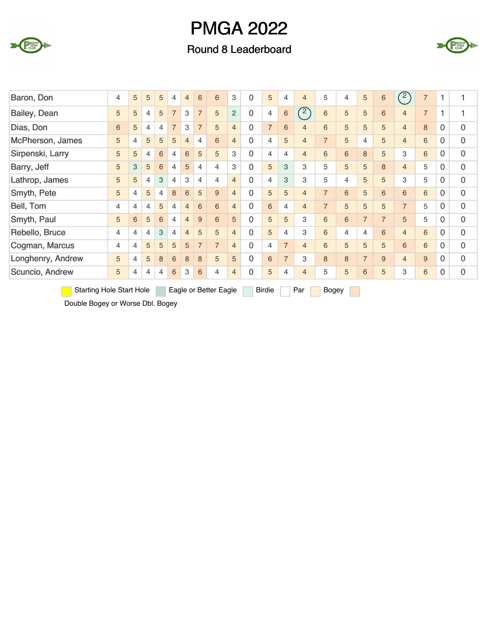

#### Round 8 Leaderboard

| Baron, Don        | 4 | 5 | 5              | 5 | $\overline{4}$  | $\overline{4}$ | $6\phantom{1}6$ | 6              | 3              | $\overline{0}$ | 5              | 4              | $\overline{4}$ | 5              | $\overline{4}$ | 5              | 6              | $\sqrt{2}$     | $\overline{7}$ |          |                |
|-------------------|---|---|----------------|---|-----------------|----------------|-----------------|----------------|----------------|----------------|----------------|----------------|----------------|----------------|----------------|----------------|----------------|----------------|----------------|----------|----------------|
| Bailey, Dean      | 5 | 5 | 4              | 5 | $\overline{7}$  | 3              | $\overline{7}$  | 5              | $\overline{c}$ | $\mathbf 0$    | 4              | 6              | $\mathcal{C}$  | $\sqrt{6}$     | 5              | 5              | 6              | $\overline{4}$ | $\overline{7}$ |          |                |
| Dias, Don         | 6 | 5 | 4              | 4 | $\overline{7}$  | 3              | $\overline{7}$  | 5              | $\overline{4}$ | $\mathbf 0$    | $\overline{7}$ | 6              | $\overline{4}$ | 6              | 5              | 5              | 5              | $\overline{4}$ | 8              | $\Omega$ | $\mathbf 0$    |
| McPherson, James  | 5 | 4 | 5              | 5 | 5               | $\overline{4}$ | $\overline{4}$  | 6              | $\overline{4}$ | $\Omega$       | 4              | 5              | $\overline{4}$ | $\overline{7}$ | 5              | 4              | 5              | $\overline{4}$ | 6              | 0        | $\mathbf 0$    |
| Sirpenski, Larry  | 5 | 5 | 4              | 6 | 4               | 6              | 5               | 5              | 3              | $\Omega$       | 4              | 4              | $\overline{4}$ | 6              | 6              | 8              | 5              | 3              | 6              | 0        | $\overline{0}$ |
| Barry, Jeff       | 5 | 3 | 5              | 6 | 4               | 5              | $\overline{4}$  | 4              | 3              | $\overline{0}$ | 5              | 3              | 3              | 5              | 5              | 5              | 8              | $\overline{4}$ | 5              | 0        | $\mathbf 0$    |
| Lathrop, James    | 5 | 5 | 4              | 3 | 4               | 3              | $\overline{4}$  | 4              | $\overline{4}$ | $\overline{0}$ | 4              | 3              | 3              | 5              | 4              | 5              | 5              | 3              | 5              | 0        | $\mathbf 0$    |
| Smyth, Pete       | 5 | 4 | 5              | 4 | 8               | 6              | 5               | 9              | $\overline{4}$ | $\overline{0}$ | 5              | 5              | $\overline{4}$ | $\overline{7}$ | 6              | 5              | 6              | 6              | 6              | 0        | $\mathbf 0$    |
| Bell, Tom         | 4 | 4 | $\overline{4}$ | 5 | $\overline{4}$  | $\overline{4}$ | 6               | 6              | $\overline{4}$ | $\overline{0}$ | 6              | 4              | $\overline{4}$ | $\overline{7}$ | 5              | 5              | 5              | $\overline{7}$ | 5              | 0        | $\overline{0}$ |
| Smyth, Paul       | 5 | 6 | 5              | 6 | $\overline{4}$  | $\overline{4}$ | 9               | 6              | 5              | $\overline{0}$ | 5              | 5              | 3              | 6              | 6              | $\overline{7}$ | $\overline{7}$ | 5              | 5              | 0        | $\mathbf 0$    |
| Rebello, Bruce    | 4 | 4 | 4              | 3 | $\overline{4}$  | $\overline{4}$ | 5               | 5              | $\overline{4}$ | $\overline{0}$ | 5              | 4              | 3              | 6              | 4              | $\overline{4}$ | 6              | $\overline{4}$ | 6              | 0        | $\overline{0}$ |
| Cogman, Marcus    | 4 | 4 | 5              | 5 | 5               | 5              | $\overline{7}$  | $\overline{7}$ | $\overline{4}$ | $\mathbf 0$    | 4              | $\overline{7}$ | $\overline{4}$ | 6              | 5              | 5              | 5              | 6              | $6\,$          | 0        | $\mathbf 0$    |
| Longhenry, Andrew | 5 | 4 | 5              | 8 | 6               | 8              | 8               | 5              | 5              | $\overline{0}$ | 6              | $\overline{7}$ | 3              | 8              | 8              | $\overline{7}$ | 9              | $\overline{4}$ | 9              | 0        | $\mathbf 0$    |
| Scuncio, Andrew   | 5 | 4 | 4              | 4 | $6\overline{6}$ | 3              | 6               | 4              | $\overline{4}$ | $\mathbf 0$    | 5              | 4              | $\overline{4}$ | 5              | 5              | 6              | 5              | 3              | $6\,$          | 0        | $\mathbf 0$    |

Bistarting Hole Start Hole Eagle or Better Eagle Birdie Par Bogey

Double Bogey or Worse Dbl. Bogey

CLUB COLLE

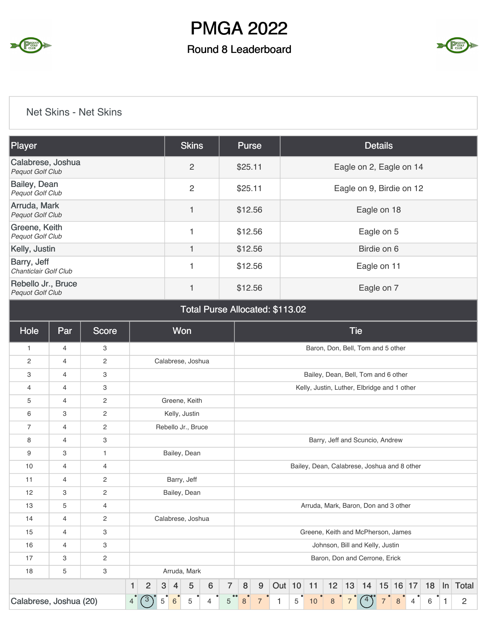

## Round 8 Leaderboard



#### Net Skins - Net Skins

| Player                                 | <b>Skins</b>   | Purse   | <b>Details</b>           |
|----------------------------------------|----------------|---------|--------------------------|
| Calabrese, Joshua<br>Pequot Golf Club  | $\overline{2}$ | \$25.11 | Eagle on 2, Eagle on 14  |
| Bailey, Dean<br>Pequot Golf Club       | $\overline{c}$ | \$25.11 | Eagle on 9, Birdie on 12 |
| Arruda, Mark<br>Pequot Golf Club       |                | \$12.56 | Eagle on 18              |
| Greene, Keith<br>Pequot Golf Club      |                | \$12.56 | Eagle on 5               |
| Kelly, Justin                          |                | \$12.56 | Birdie on 6              |
| Barry, Jeff<br>Chanticlair Golf Club   |                | \$12.56 | Eagle on 11              |
| Rebello Jr., Bruce<br>Pequot Golf Club |                | \$12.56 | Eagle on 7               |

Total Purse Allocated: \$113.02

| Hole                   | Par            | Score        |                |   |              |                | Won                |                |                |                                             |                |              |   |    |    | <b>Tie</b> |                                             |  |            |                |    |  |                |  |
|------------------------|----------------|--------------|----------------|---|--------------|----------------|--------------------|----------------|----------------|---------------------------------------------|----------------|--------------|---|----|----|------------|---------------------------------------------|--|------------|----------------|----|--|----------------|--|
| $\mathbf{1}$           | $\overline{4}$ | 3            |                |   |              |                |                    |                |                |                                             |                |              |   |    |    |            | Baron, Don, Bell, Tom and 5 other           |  |            |                |    |  |                |  |
| $\overline{c}$         | 4              | 2            |                |   |              |                | Calabrese, Joshua  |                |                |                                             |                |              |   |    |    |            |                                             |  |            |                |    |  |                |  |
| 3                      | 4              | 3            |                |   |              |                |                    |                |                |                                             |                |              |   |    |    |            | Bailey, Dean, Bell, Tom and 6 other         |  |            |                |    |  |                |  |
| $\overline{4}$         | $\overline{4}$ | 3            |                |   |              |                |                    |                |                |                                             |                |              |   |    |    |            | Kelly, Justin, Luther, Elbridge and 1 other |  |            |                |    |  |                |  |
| 5                      | 4              | $\mathbf{2}$ |                |   |              |                | Greene, Keith      |                |                |                                             |                |              |   |    |    |            |                                             |  |            |                |    |  |                |  |
| 6                      | 3              | $\mathbf{2}$ |                |   |              |                | Kelly, Justin      |                |                |                                             |                |              |   |    |    |            |                                             |  |            |                |    |  |                |  |
| $\overline{7}$         | 4              | $\mathbf{2}$ |                |   |              |                | Rebello Jr., Bruce |                |                |                                             |                |              |   |    |    |            |                                             |  |            |                |    |  |                |  |
| 8                      | 4              | 3            |                |   |              |                |                    |                |                | Barry, Jeff and Scuncio, Andrew             |                |              |   |    |    |            |                                             |  |            |                |    |  |                |  |
| 9                      | З              | $\mathbf{1}$ |                |   |              |                | Bailey, Dean       |                |                |                                             |                |              |   |    |    |            |                                             |  |            |                |    |  |                |  |
| 10                     | 4              | 4            |                |   |              |                |                    |                |                | Bailey, Dean, Calabrese, Joshua and 8 other |                |              |   |    |    |            |                                             |  |            |                |    |  |                |  |
| 11                     | 4              | $\mathbf 2$  |                |   |              |                | Barry, Jeff        |                |                |                                             |                |              |   |    |    |            |                                             |  |            |                |    |  |                |  |
| 12                     | 3              | $\mathbf{2}$ |                |   |              |                | Bailey, Dean       |                |                |                                             |                |              |   |    |    |            |                                             |  |            |                |    |  |                |  |
| 13                     | 5              | 4            |                |   |              |                |                    |                |                |                                             |                |              |   |    |    |            | Arruda, Mark, Baron, Don and 3 other        |  |            |                |    |  |                |  |
| 14                     | 4              | $\mathbf{2}$ |                |   |              |                | Calabrese, Joshua  |                |                |                                             |                |              |   |    |    |            |                                             |  |            |                |    |  |                |  |
| 15                     | 4              | 3            |                |   |              |                |                    |                |                |                                             |                |              |   |    |    |            | Greene, Keith and McPherson, James          |  |            |                |    |  |                |  |
| 16                     | $\overline{4}$ | 3            |                |   |              |                |                    |                |                | Johnson, Bill and Kelly, Justin             |                |              |   |    |    |            |                                             |  |            |                |    |  |                |  |
| 17                     | 3              | $\mathbf{2}$ |                |   |              |                |                    |                |                | Baron, Don and Cerrone, Erick               |                |              |   |    |    |            |                                             |  |            |                |    |  |                |  |
| 18                     | 5              | 3            |                |   |              |                | Arruda, Mark       |                |                |                                             |                |              |   |    |    |            |                                             |  |            |                |    |  |                |  |
|                        |                |              | 1              | 2 | $\mathbf{3}$ | $\overline{4}$ | 5                  | $6\phantom{1}$ | $\overline{7}$ | 8                                           | 9              | Out 10 11    |   |    | 12 | 13         | 14                                          |  | $15$ 16 17 |                | 18 |  | In Total       |  |
| Calabrese, Joshua (20) |                |              | $\overline{4}$ | 3 | 5            | 6              | 5                  | 4              | 5              | 8                                           | $\overline{7}$ | $\mathbf{1}$ | 5 | 10 | 8  |            |                                             |  |            | $\overline{4}$ | 6  |  | $\overline{2}$ |  |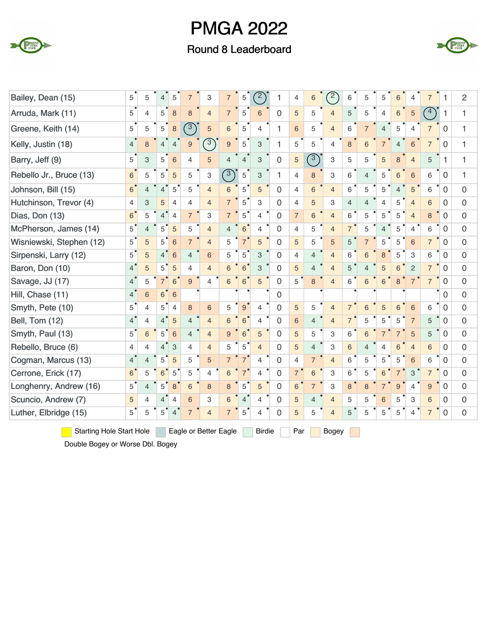

## Round 8 Leaderboard



| Bailey, Dean (15)                                                                         | 5              | 5              | $\overline{4}$ | 5                | $\overline{7}$           | 3                       | $\overline{7}$ | 5              | $\binom{2}{ }$            | 1              | $\overline{4}$ | 6              | $\overline{c}$ | 6              | 5              | 5              | 6              | 4                         | $\overline{7}$ | 1              | 2           |
|-------------------------------------------------------------------------------------------|----------------|----------------|----------------|------------------|--------------------------|-------------------------|----------------|----------------|---------------------------|----------------|----------------|----------------|----------------|----------------|----------------|----------------|----------------|---------------------------|----------------|----------------|-------------|
| Arruda, Mark (11)                                                                         | 5              | 4              | 5              | 8                | 8                        | $\overline{4}$          | $\overline{7}$ | 5              | 6                         | $\overline{0}$ | 5              | 5              | $\overline{4}$ | 5              | 5              | 4              | 6              | 5                         | $\sqrt{4}$     | 1              | 1           |
| Greene, Keith (14)                                                                        | 5              | 5              | 5              | $\boldsymbol{8}$ | $\sqrt{3}$               | 5                       | 6              | 5              | $\overline{4}$            | 1              | $6\phantom{1}$ | 5              | $\overline{4}$ | 6              | $\overline{7}$ | $\overline{4}$ | 5              | $\overline{4}$            | $\overline{7}$ | $\overline{0}$ | 1           |
| Kelly, Justin (18)                                                                        | $\overline{4}$ | 8              |                | 4                | 9                        | $\widehat{\mathcal{E}}$ | 9              | 5              | 3                         | 1              | 5              | 5              | 4              | 8              | 6              |                | $\overline{4}$ | 6                         | $\overline{7}$ | $\Omega$       | 1           |
| Barry, Jeff (9)                                                                           | 5              | 3              | 5              | 6                | 4                        | 5                       | 4              | $\overline{4}$ | 3                         | $\mathbf 0$    | 5              | $\sqrt{3}$     | 3              | 5              | 5              | 5              | 8              | $\overline{4}$            | 5              | 1              | 1           |
| Rebello Jr., Bruce (13)                                                                   | $\,$ 6 $\,$    | 5              | 5              | 5                | 5                        | 3                       | $\sqrt{3}$     | $\mathbf 5$    | $\ensuremath{\mathsf{3}}$ | 1              | $\overline{4}$ | 8              | 3              | 6              | $\overline{4}$ | 5              | 6              | 6                         | 6              | 0              | 1           |
| Johnson, Bill (15)                                                                        | $6\phantom{1}$ | $\overline{4}$ | $\overline{4}$ | 5                | 5                        | $\overline{4}$          | 6              | 5              | 5                         | $\overline{0}$ | $\overline{4}$ | $6\phantom{1}$ | $\overline{4}$ | 6              | 5              | 5              | $\overline{4}$ | 5                         | 6              | 0              | $\Omega$    |
| Hutchinson, Trevor (4)                                                                    | $\overline{4}$ | 3              | 5              | $\overline{4}$   | 4                        | $\overline{4}$          | $\overline{7}$ | 5              | 3                         | $\Omega$       | $\overline{4}$ | 5              | 3              | $\overline{4}$ | $\overline{4}$ | 4              | 5              | $\overline{4}$            | 6              | $\Omega$       | $\Omega$    |
| Dias, Don (13)                                                                            | 6              | 5              | $\overline{4}$ | $\overline{4}$   | $\overline{7}$           | 3                       | $\overline{7}$ | 5              | $\overline{4}$            | $\overline{0}$ | $\overline{7}$ | 6              | $\overline{4}$ | 6              | 5              | 5              | 5              | $\overline{4}$            | 8              | 0              | $\Omega$    |
| McPherson, James (14)                                                                     | 5              | $\overline{4}$ | 5              | 5                | 5                        | $\overline{4}$          | $\overline{4}$ | 6              | $\overline{4}$            | $\overline{0}$ | $\overline{4}$ | 5              | $\overline{4}$ | $\overline{7}$ | 5              | $\overline{4}$ | 5              | $\overline{\mathcal{L}}$  | 6              | $\mathbf 0$    | $\mathbf 0$ |
| Wisniewski, Stephen (12)                                                                  | 5              | 5              | 5              | 6                | $\overline{7}$           | $\overline{4}$          | 5              | 7              | 5                         | $\Omega$       | 5              | 5              | 5              | 5              | $\overline{7}$ | 5              | 5              | 6                         | $\overline{7}$ | $\Omega$       | $\Omega$    |
| Sirpenski, Larry (12)                                                                     | 5              | 5              | $\overline{4}$ | 6                | $\overline{4}$           | 6                       | 5              | 5              | 3                         | $\Omega$       | $\overline{4}$ | 4              | $\overline{4}$ | 6              | 6              | 8              | 5              | 3                         | 6              | 0              | $\Omega$    |
| Baron, Don (10)                                                                           | $\overline{4}$ | 5              | 5              | 5                | 4                        | $\overline{4}$          | 6              | $6\phantom{1}$ | 3                         | $\overline{0}$ | 5              | $\overline{4}$ | $\overline{4}$ | 5              | $\overline{4}$ | 5              | 6              | $\overline{c}$            | $\overline{7}$ | $\mathbf 0$    | $\mathbf 0$ |
| Savage, JJ (17)                                                                           | $\overline{4}$ | 5              | $\overline{7}$ | $6\phantom{1}6$  | 9                        | 4                       | 6              | 6              | 5                         | $\overline{0}$ | 5              | 8              | $\overline{4}$ | 6              | 6              | 6              | $\,8\,$        | $\overline{7}$            | $\overline{7}$ | $\mathbf 0$    | $\mathbf 0$ |
| Hill, Chase (11)                                                                          | $\overline{4}$ | 6              | 6              | $6\phantom{1}6$  |                          |                         |                |                |                           | $\overline{0}$ |                |                |                |                |                |                |                |                           |                | 0              | $\mathbf 0$ |
| Smyth, Pete (10)                                                                          | 5              | 4              | 5              | $\overline{4}$   | 8                        | 6                       | 5              | 9              | 4                         | $\overline{0}$ | 5              | 5              | $\overline{4}$ | $\overline{7}$ | 6              | 5              | 6              | 6                         | 6              | $\Omega$       | $\Omega$    |
| Bell, Tom (12)                                                                            | $\overline{4}$ | $\overline{4}$ | $\overline{4}$ | 5                | 4                        | $\overline{4}$          | 6              | 6              | $\overline{4}$            | $\overline{0}$ | $\,6$          | $\overline{4}$ | $\overline{4}$ | $\overline{7}$ | 5              | 5              | 5              | $\overline{7}$            | 5              | $\mathbf 0$    | $\Omega$    |
| Smyth, Paul (13)                                                                          | 5              | 6              | 5              | $6\phantom{1}6$  | $\overline{\mathcal{L}}$ | $\overline{4}$          | 9              | 6              | 5                         | $\overline{0}$ | 5              | 5              | 3              | 6              | 6              | $\overline{7}$ | $\overline{7}$ | 5                         | 5              | $\Omega$       | $\Omega$    |
| Rebello, Bruce (6)                                                                        | 4              | 4              | $\overline{4}$ | 3                | 4                        | $\overline{4}$          | 5              | 5              | $\overline{4}$            | $\Omega$       | 5              | $\overline{4}$ | 3              | 6              | $\overline{4}$ | 4              | 6              | $\overline{4}$            | 6              | 0              | $\Omega$    |
| Cogman, Marcus (13)                                                                       | $\overline{4}$ | $\overline{4}$ | 5              | 5                | 5                        | 5                       | $\overline{7}$ | $\overline{7}$ | $\overline{4}$            | $\overline{0}$ | $\overline{4}$ | $\overline{7}$ | $\overline{4}$ | 6              | 5              | 5              | 5              | 6                         | 6              | 0              | 0           |
| Cerrone, Erick (17)                                                                       | 6              | 5              | 6              | $\sqrt{5}$       | 5                        | 4                       | 6              |                | $\overline{4}$            | $\overline{0}$ | 7 <sup>°</sup> | $6\phantom{1}$ | 3              | 6              | 5              | 6              | $\overline{7}$ | $\ensuremath{\mathsf{3}}$ | $\overline{7}$ | $\mathbf 0$    | $\mathbf 0$ |
| Longhenry, Andrew (16)                                                                    | 5              | $\overline{4}$ | 5              | 8                | 6                        | 8                       | 8              | 5              | 5                         | $\overline{0}$ | 6              | $\overline{7}$ | 3              | 8              | 8              |                | 9              | $\overline{4}$            | 9              | 0              | $\mathbf 0$ |
| Scuncio, Andrew (7)                                                                       | 5              | 4              | $\overline{4}$ | $\overline{4}$   | 6                        | 3                       | 6              | $\overline{4}$ | 4                         | $\overline{0}$ | 5              | $\overline{4}$ | $\overline{4}$ | 5              | 5              | 6              | 5              | 3                         | 6              | 0              | $\Omega$    |
| Luther, Elbridge (15)                                                                     | 5 <sup>′</sup> | 5              | 5              |                  |                          | $\overline{4}$          | $\overline{7}$ | 5              | $\overline{4}$            | $\mathbf 0$    | 5              | 5              | $\overline{4}$ | 5              | 5              | 5              | 5              | 4                         | $\overline{7}$ | 0              | $\mathbf 0$ |
| <b>Starting Hole Start Hole</b><br>Par<br>Eagle or Better Eagle<br><b>Birdie</b><br>Bogey |                |                |                |                  |                          |                         |                |                |                           |                |                |                |                |                |                |                |                |                           |                |                |             |

Double Bogey or Worse Dbl. Bogey